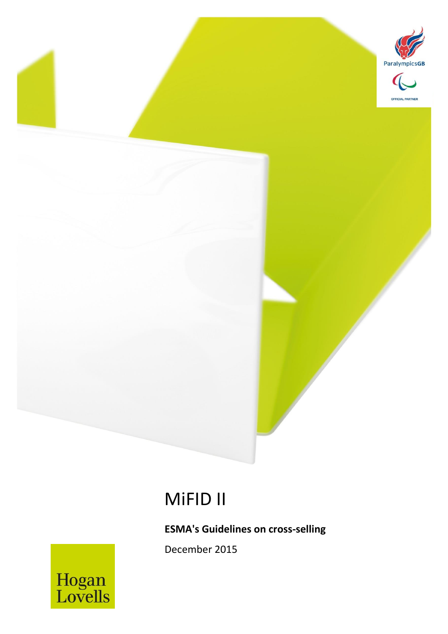

# MiFID II

MiFID II *December 2015* 1

**ESMA's Guidelines on cross-selling**

December 2015

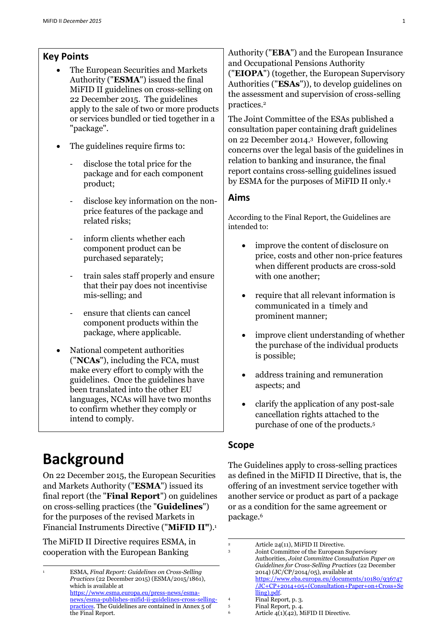## **Key Points**

- The European Securities and Markets Authority ("**ESMA**") issued the final MiFID II guidelines on cross-selling on 22 December 2015. The guidelines apply to the sale of two or more products or services bundled or tied together in a "package".
- The guidelines require firms to:
	- disclose the total price for the package and for each component product;
	- disclose key information on the nonprice features of the package and related risks;
	- inform clients whether each component product can be purchased separately;
	- train sales staff properly and ensure that their pay does not incentivise mis-selling; and
	- ensure that clients can cancel component products within the package, where applicable.
- National competent authorities ("**NCAs**"), including the FCA, must make every effort to comply with the guidelines. Once the guidelines have been translated into the other EU languages, NCAs will have two months to confirm whether they comply or intend to comply.

# **Background**

-

On 22 December 2015, the European Securities and Markets Authority ("**ESMA**") issued its final report (the "**Final Report**") on guidelines on cross-selling practices (the "**Guidelines**") for the purposes of the revised Markets in Financial Instruments Directive ("**MiFID II"**). 1

The MiFID II Directive requires ESMA, in cooperation with the European Banking

Authority ("**EBA**") and the European Insurance and Occupational Pensions Authority ("**EIOPA**") (together, the European Supervisory Authorities ("**ESAs**")), to develop guidelines on the assessment and supervision of cross-selling practices.<sup>2</sup>

The Joint Committee of the ESAs published a consultation paper containing draft guidelines on 22 December 2014.<sup>3</sup> However, following concerns over the legal basis of the guidelines in relation to banking and insurance, the final report contains cross-selling guidelines issued by ESMA for the purposes of MiFID II only.<sup>4</sup>

#### **Aims**

According to the Final Report, the Guidelines are intended to:

- improve the content of disclosure on price, costs and other non-price features when different products are cross-sold with one another;
- require that all relevant information is communicated in a timely and prominent manner;
- improve client understanding of whether the purchase of the individual products is possible;
- address training and remuneration aspects; and
- clarify the application of any post-sale cancellation rights attached to the purchase of one of the products.<sup>5</sup>

#### **Scope**

1

The Guidelines apply to cross-selling practices as defined in the MiFID II Directive, that is, the offering of an investment service together with another service or product as part of a package or as a condition for the same agreement or package.<sup>6</sup>

<sup>1</sup> ESMA, *Final Report: Guidelines on Cross-Selling Practices* (22 December 2015) (ESMA/2015/1861), which is available at [https://www.esma.europa.eu/press-news/esma](https://www.esma.europa.eu/press-news/esma-news/esma-publishes-mifid-ii-guidelines-cross-selling-practices)[news/esma-publishes-mifid-ii-guidelines-cross-selling](https://www.esma.europa.eu/press-news/esma-news/esma-publishes-mifid-ii-guidelines-cross-selling-practices)[practices.](https://www.esma.europa.eu/press-news/esma-news/esma-publishes-mifid-ii-guidelines-cross-selling-practices) The Guidelines are contained in Annex 5 of the Final Report.

<sup>&</sup>lt;sup>2</sup> Article 24(11), MiFID II Directive.

<sup>3</sup> Joint Committee of the European Supervisory Authorities, *Joint Committee Consultation Paper on Guidelines for Cross-Selling Practices* (22 December 2014) (JC/CP/2014/05), available at [https://www.eba.europa.eu/documents/10180/936747](https://www.eba.europa.eu/documents/10180/936747/JC+CP+2014+05+(Consultation+Paper+on+Cross+Selling).pdf) [/JC+CP+2014+05+\(Consultation+Paper+on+Cross+Se](https://www.eba.europa.eu/documents/10180/936747/JC+CP+2014+05+(Consultation+Paper+on+Cross+Selling).pdf) [lling\).pdf.](https://www.eba.europa.eu/documents/10180/936747/JC+CP+2014+05+(Consultation+Paper+on+Cross+Selling).pdf)

<sup>4</sup> Final Report, p. 3.<br>5 Final Report p. 4.

 $\frac{5}{6}$  Final Report, p. 4.

Article  $4(1)(42)$ , MiFID II Directive.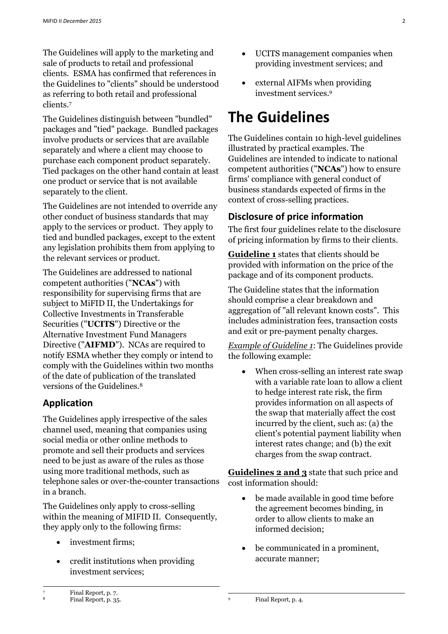The Guidelines will apply to the marketing and sale of products to retail and professional clients. ESMA has confirmed that references in the Guidelines to "clients" should be understood as referring to both retail and professional clients.<sup>7</sup>

The Guidelines distinguish between "bundled" packages and "tied" package. Bundled packages involve products or services that are available separately and where a client may choose to purchase each component product separately. Tied packages on the other hand contain at least one product or service that is not available separately to the client.

The Guidelines are not intended to override any other conduct of business standards that may apply to the services or product. They apply to tied and bundled packages, except to the extent any legislation prohibits them from applying to the relevant services or product.

The Guidelines are addressed to national competent authorities ("**NCAs**") with responsibility for supervising firms that are subject to MiFID II, the Undertakings for Collective Investments in Transferable Securities ("**UCITS**") Directive or the Alternative Investment Fund Managers Directive ("**AIFMD**"). NCAs are required to notify ESMA whether they comply or intend to comply with the Guidelines within two months of the date of publication of the translated versions of the Guidelines.<sup>8</sup>

## **Application**

The Guidelines apply irrespective of the sales channel used, meaning that companies using social media or other online methods to promote and sell their products and services need to be just as aware of the rules as those using more traditional methods, such as telephone sales or over-the-counter transactions in a branch.

The Guidelines only apply to cross-selling within the meaning of MIFID II. Consequently, they apply only to the following firms:

- investment firms;
- credit institutions when providing investment services;
- UCITS management companies when providing investment services; and
- external AIFMs when providing investment services.<sup>9</sup>

# **The Guidelines**

The Guidelines contain 10 high-level guidelines illustrated by practical examples. The Guidelines are intended to indicate to national competent authorities ("**NCAs**") how to ensure firms' compliance with general conduct of business standards expected of firms in the context of cross-selling practices.

## **Disclosure of price information**

The first four guidelines relate to the disclosure of pricing information by firms to their clients.

**Guideline 1** states that clients should be provided with information on the price of the package and of its component products.

The Guideline states that the information should comprise a clear breakdown and aggregation of "all relevant known costs". This includes administration fees, transaction costs and exit or pre-payment penalty charges.

*Example of Guideline 1*: The Guidelines provide the following example:

• When cross-selling an interest rate swap with a variable rate loan to allow a client to hedge interest rate risk, the firm provides information on all aspects of the swap that materially affect the cost incurred by the client, such as: (a) the client's potential payment liability when interest rates change; and (b) the exit charges from the swap contract.

**Guidelines 2 and 3** state that such price and cost information should:

- be made available in good time before the agreement becomes binding, in order to allow clients to make an informed decision;
- be communicated in a prominent, accurate manner;

-

1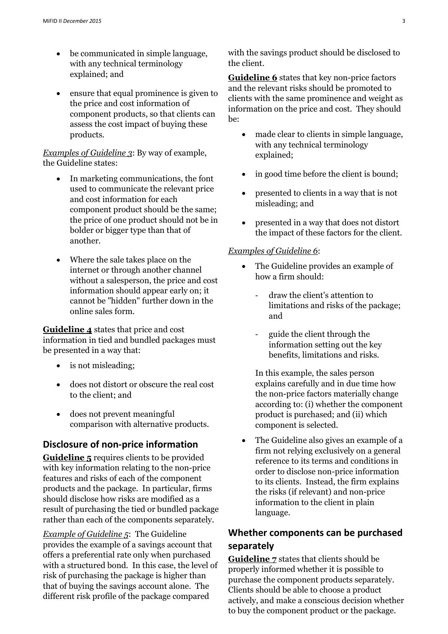- be communicated in simple language, with any technical terminology explained; and
- ensure that equal prominence is given to the price and cost information of component products, so that clients can assess the cost impact of buying these products.

#### *Examples of Guideline 3*: By way of example, the Guideline states:

- In marketing communications, the font used to communicate the relevant price and cost information for each component product should be the same; the price of one product should not be in bolder or bigger type than that of another.
- Where the sale takes place on the internet or through another channel without a salesperson, the price and cost information should appear early on; it cannot be "hidden" further down in the online sales form.

**Guideline 4** states that price and cost information in tied and bundled packages must be presented in a way that:

- is not misleading;
- does not distort or obscure the real cost to the client; and
- does not prevent meaningful comparison with alternative products.

#### **Disclosure of non-price information**

**Guideline 5** requires clients to be provided with key information relating to the non-price features and risks of each of the component products and the package. In particular, firms should disclose how risks are modified as a result of purchasing the tied or bundled package rather than each of the components separately.

*Example of Guideline 5*: The Guideline provides the example of a savings account that offers a preferential rate only when purchased with a structured bond. In this case, the level of risk of purchasing the package is higher than that of buying the savings account alone. The different risk profile of the package compared

with the savings product should be disclosed to the client.

**Guideline 6** states that key non-price factors and the relevant risks should be promoted to clients with the same prominence and weight as information on the price and cost. They should be:

- made clear to clients in simple language, with any technical terminology explained;
- in good time before the client is bound;
- presented to clients in a way that is not misleading; and
- presented in a way that does not distort the impact of these factors for the client.

#### *Examples of Guideline 6*:

- The Guideline provides an example of how a firm should:
	- draw the client's attention to limitations and risks of the package; and
	- guide the client through the information setting out the key benefits, limitations and risks.

In this example, the sales person explains carefully and in due time how the non-price factors materially change according to: (i) whether the component product is purchased; and (ii) which component is selected.

 The Guideline also gives an example of a firm not relying exclusively on a general reference to its terms and conditions in order to disclose non-price information to its clients. Instead, the firm explains the risks (if relevant) and non-price information to the client in plain language.

## **Whether components can be purchased separately**

**Guideline 7** states that clients should be properly informed whether it is possible to purchase the component products separately. Clients should be able to choose a product actively, and make a conscious decision whether to buy the component product or the package.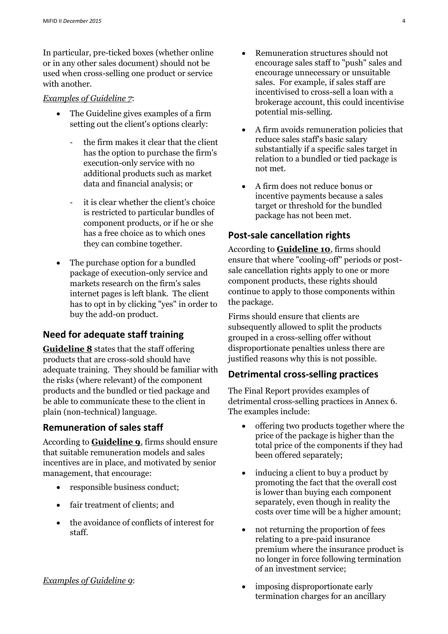In particular, pre-ticked boxes (whether online or in any other sales document) should not be used when cross-selling one product or service with another.

#### *Examples of Guideline 7*:

- The Guideline gives examples of a firm setting out the client's options clearly:
	- the firm makes it clear that the client has the option to purchase the firm's execution-only service with no additional products such as market data and financial analysis; or
	- it is clear whether the client's choice is restricted to particular bundles of component products, or if he or she has a free choice as to which ones they can combine together.
- The purchase option for a bundled package of execution-only service and markets research on the firm's sales internet pages is left blank. The client has to opt in by clicking "yes" in order to buy the add-on product.

## **Need for adequate staff training**

**Guideline 8** states that the staff offering products that are cross-sold should have adequate training. They should be familiar with the risks (where relevant) of the component products and the bundled or tied package and be able to communicate these to the client in plain (non-technical) language.

## **Remuneration of sales staff**

According to **Guideline 9**, firms should ensure that suitable remuneration models and sales incentives are in place, and motivated by senior management, that encourage:

- responsible business conduct;
- fair treatment of clients; and
- the avoidance of conflicts of interest for staff.

#### *Examples of Guideline 9*:

- Remuneration structures should not encourage sales staff to "push" sales and encourage unnecessary or unsuitable sales. For example, if sales staff are incentivised to cross-sell a loan with a brokerage account, this could incentivise potential mis-selling.
- A firm avoids remuneration policies that reduce sales staff's basic salary substantially if a specific sales target in relation to a bundled or tied package is not met.
- A firm does not reduce bonus or incentive payments because a sales target or threshold for the bundled package has not been met.

### **Post-sale cancellation rights**

According to **Guideline 10**, firms should ensure that where "cooling-off" periods or postsale cancellation rights apply to one or more component products, these rights should continue to apply to those components within the package.

Firms should ensure that clients are subsequently allowed to split the products grouped in a cross-selling offer without disproportionate penalties unless there are justified reasons why this is not possible.

#### **Detrimental cross-selling practices**

The Final Report provides examples of detrimental cross-selling practices in Annex 6. The examples include:

- offering two products together where the price of the package is higher than the total price of the components if they had been offered separately;
- inducing a client to buy a product by promoting the fact that the overall cost is lower than buying each component separately, even though in reality the costs over time will be a higher amount;
- not returning the proportion of fees relating to a pre-paid insurance premium where the insurance product is no longer in force following termination of an investment service;
- imposing disproportionate early termination charges for an ancillary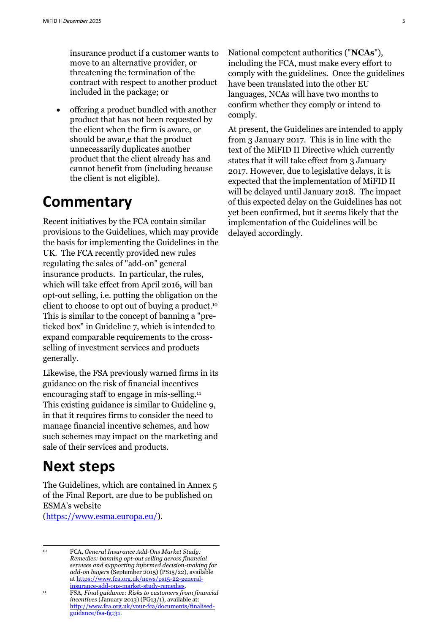insurance product if a customer wants to move to an alternative provider, or threatening the termination of the contract with respect to another product included in the package; or

• offering a product bundled with another product that has not been requested by the client when the firm is aware, or should be awar,e that the product unnecessarily duplicates another product that the client already has and cannot benefit from (including because the client is not eligible).

## **Commentary**

Recent initiatives by the FCA contain similar provisions to the Guidelines, which may provide the basis for implementing the Guidelines in the UK. The FCA recently provided new rules regulating the sales of "add-on" general insurance products. In particular, the rules, which will take effect from April 2016, will ban opt-out selling, i.e. putting the obligation on the client to choose to opt out of buying a product. 10 This is similar to the concept of banning a "preticked box" in Guideline 7, which is intended to expand comparable requirements to the crossselling of investment services and products generally.

Likewise, the FSA previously warned firms in its guidance on the risk of financial incentives encouraging staff to engage in mis-selling. 11 This existing guidance is similar to Guideline 9, in that it requires firms to consider the need to manage financial incentive schemes, and how such schemes may impact on the marketing and sale of their services and products.

## **Next steps**

The Guidelines, which are contained in Annex 5 of the Final Report, are due to be published on ESMA's website

[\(https://www.esma.europa.eu/\)](https://www.esma.europa.eu/).

<sup>10</sup> FCA, *General Insurance Add-Ons Market Study: Remedies: banning opt-out selling across financial services and supporting informed decision-making for add-on buyers* (September 2015) (PS15/22), available a[t https://www.fca.org.uk/news/ps15-22-general](https://www.fca.org.uk/news/ps15-22-general-insurance-add-ons-market-study-remedies)[insurance-add-ons-market-study-remedies.](https://www.fca.org.uk/news/ps15-22-general-insurance-add-ons-market-study-remedies) 

National competent authorities ("**NCAs**"), including the FCA, must make every effort to comply with the guidelines. Once the guidelines have been translated into the other EU languages, NCAs will have two months to confirm whether they comply or intend to comply.

At present, the Guidelines are intended to apply from 3 January 2017. This is in line with the text of the MiFID II Directive which currently states that it will take effect from 3 January 2017. However, due to legislative delays, it is expected that the implementation of MiFID II will be delayed until January 2018. The impact of this expected delay on the Guidelines has not yet been confirmed, but it seems likely that the implementation of the Guidelines will be delayed accordingly.

<sup>-</sup>

<sup>11</sup> FSA, *Final guidance: Risks to customers from financial incentives* (January 2013) (FG13/1), available at: [http://www.fca.org.uk/your-fca/documents/finalised](http://www.fca.org.uk/your-fca/documents/finalised-guidance/fsa-fg131)[guidance/fsa-fg131.](http://www.fca.org.uk/your-fca/documents/finalised-guidance/fsa-fg131)